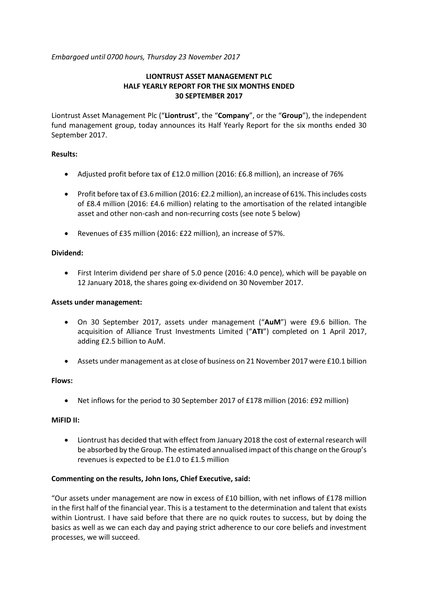*Embargoed until 0700 hours, Thursday 23 November 2017*

# **LIONTRUST ASSET MANAGEMENT PLC HALF YEARLY REPORT FOR THE SIX MONTHS ENDED 30 SEPTEMBER 2017**

Liontrust Asset Management Plc ("**Liontrust**", the "**Company**", or the "**Group**"), the independent fund management group, today announces its Half Yearly Report for the six months ended 30 September 2017.

## **Results:**

- Adjusted profit before tax of £12.0 million (2016: £6.8 million), an increase of 76%
- Profit before tax of £3.6 million (2016: £2.2 million), an increase of 61%. This includes costs of £8.4 million (2016: £4.6 million) relating to the amortisation of the related intangible asset and other non-cash and non-recurring costs (see note 5 below)
- Revenues of £35 million (2016: £22 million), an increase of 57%.

## **Dividend:**

 First Interim dividend per share of 5.0 pence (2016: 4.0 pence), which will be payable on 12 January 2018, the shares going ex-dividend on 30 November 2017.

## **Assets under management:**

- On 30 September 2017, assets under management ("**AuM**") were £9.6 billion. The acquisition of Alliance Trust Investments Limited ("**ATI**") completed on 1 April 2017, adding £2.5 billion to AuM.
- Assets under management as at close of business on 21 November 2017 were £10.1 billion

## **Flows:**

Net inflows for the period to 30 September 2017 of £178 million (2016: £92 million)

## **MiFID II:**

 Liontrust has decided that with effect from January 2018 the cost of external research will be absorbed by the Group. The estimated annualised impact of this change on the Group's revenues is expected to be £1.0 to £1.5 million

## **Commenting on the results, John Ions, Chief Executive, said:**

"Our assets under management are now in excess of  $£10$  billion, with net inflows of  $£178$  million in the first half of the financial year. This is a testament to the determination and talent that exists within Liontrust. I have said before that there are no quick routes to success, but by doing the basics as well as we can each day and paying strict adherence to our core beliefs and investment processes, we will succeed.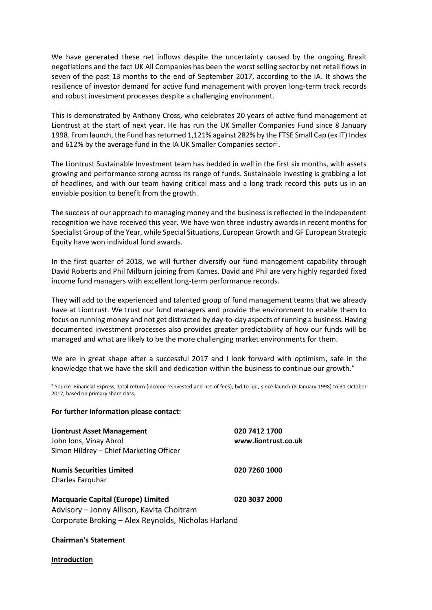We have generated these net inflows despite the uncertainty caused by the ongoing Brexit negotiations and the fact UK All Companies has been the worst selling sector by net retail flows in seven of the past 13 months to the end of September 2017, according to the IA. It shows the resilience of investor demand for active fund management with proven long-term track records and robust investment processes despite a challenging environment.

This is demonstrated by Anthony Cross, who celebrates 20 years of active fund management at Liontrust at the start of next year. He has run the UK Smaller Companies Fund since 8 January 1998. From launch, the Fund has returned 1,121% against 282% by the FTSE Small Cap (ex IT) Index and 612% by the average fund in the IA UK Smaller Companies sector<sup>1</sup>.

The Liontrust Sustainable Investment team has bedded in well in the first six months, with assets growing and performance strong across its range of funds. Sustainable investing is grabbing a lot of headlines, and with our team having critical mass and a long track record this puts us in an enviable position to benefit from the growth.

The success of our approach to managing money and the business is reflected in the independent recognition we have received this year. We have won three industry awards in recent months for Specialist Group of the Year, while Special Situations, European Growth and GF European Strategic Equity have won individual fund awards.

In the first quarter of 2018, we will further diversify our fund management capability through David Roberts and Phil Milburn joining from Kames. David and Phil are very highly regarded fixed income fund managers with excellent long-term performance records.

They will add to the experienced and talented group of fund management teams that we already have at Liontrust. We trust our fund managers and provide the environment to enable them to focus on running money and not get distracted by day-to-day aspects of running a business. Having documented investment processes also provides greater predictability of how our funds will be managed and what are likely to be the more challenging market environments for them.

We are in great shape after a successful 2017 and I look forward with optimism, safe in the knowledge that we have the skill and dedication within the business to continue our growth."

<sup>1</sup> Source: Financial Express, total return (income reinvested and net of fees), bid to bid, since launch (8 January 1998) to 31 October 2017, based on primary share class.

#### **For further information please contact:**

| <b>Liontrust Asset Management</b><br>John Ions, Vinay Abrol                            | 020 7412 1700<br>www.liontrust.co.uk |
|----------------------------------------------------------------------------------------|--------------------------------------|
| Simon Hildrey - Chief Marketing Officer                                                |                                      |
| <b>Numis Securities Limited</b><br>Charles Farguhar                                    | 020 7260 1000                        |
| <b>Macquarie Capital (Europe) Limited</b><br>Advisory – Jonny Allison, Kavita Choitram | 020 3037 2000                        |
| Corporate Broking - Alex Reynolds, Nicholas Harland                                    |                                      |

#### **Chairman's Statement**

#### **Introduction**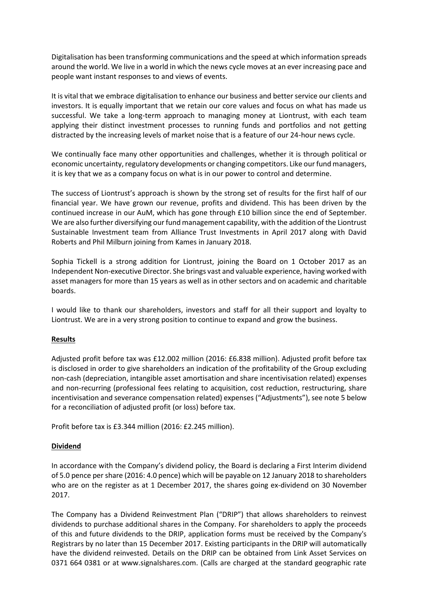Digitalisation has been transforming communications and the speed at which information spreads around the world. We live in a world in which the news cycle moves at an ever increasing pace and people want instant responses to and views of events.

It is vital that we embrace digitalisation to enhance our business and better service our clients and investors. It is equally important that we retain our core values and focus on what has made us successful. We take a long-term approach to managing money at Liontrust, with each team applying their distinct investment processes to running funds and portfolios and not getting distracted by the increasing levels of market noise that is a feature of our 24-hour news cycle.

We continually face many other opportunities and challenges, whether it is through political or economic uncertainty, regulatory developments or changing competitors. Like our fund managers, it is key that we as a company focus on what is in our power to control and determine.

The success of Liontrust's approach is shown by the strong set of results for the first half of our financial year. We have grown our revenue, profits and dividend. This has been driven by the continued increase in our AuM, which has gone through £10 billion since the end of September. We are also further diversifying our fund management capability, with the addition of the Liontrust Sustainable Investment team from Alliance Trust Investments in April 2017 along with David Roberts and Phil Milburn joining from Kames in January 2018.

Sophia Tickell is a strong addition for Liontrust, joining the Board on 1 October 2017 as an Independent Non-executive Director. She brings vast and valuable experience, having worked with asset managers for more than 15 years as well as in other sectors and on academic and charitable boards.

I would like to thank our shareholders, investors and staff for all their support and loyalty to Liontrust. We are in a very strong position to continue to expand and grow the business.

## **Results**

Adjusted profit before tax was £12.002 million (2016: £6.838 million). Adjusted profit before tax is disclosed in order to give shareholders an indication of the profitability of the Group excluding non-cash (depreciation, intangible asset amortisation and share incentivisation related) expenses and non-recurring (professional fees relating to acquisition, cost reduction, restructuring, share incentivisation and severance compensation related) expenses ("Adjustments"), see note 5 below for a reconciliation of adjusted profit (or loss) before tax.

Profit before tax is £3.344 million (2016: £2.245 million).

# **Dividend**

In accordance with the Company's dividend policy, the Board is declaring a First Interim dividend of 5.0 pence per share (2016: 4.0 pence) which will be payable on 12 January 2018 to shareholders who are on the register as at 1 December 2017, the shares going ex-dividend on 30 November 2017.

The Company has a Dividend Reinvestment Plan ("DRIP") that allows shareholders to reinvest dividends to purchase additional shares in the Company. For shareholders to apply the proceeds of this and future dividends to the DRIP, application forms must be received by the Company's Registrars by no later than 15 December 2017. Existing participants in the DRIP will automatically have the dividend reinvested. Details on the DRIP can be obtained from Link Asset Services on 0371 664 0381 or at www.signalshares.com. (Calls are charged at the standard geographic rate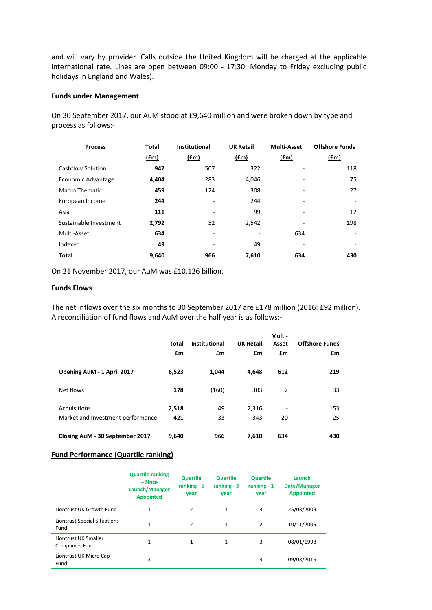and will vary by provider. Calls outside the United Kingdom will be charged at the applicable international rate. Lines are open between 09:00 - 17:30, Monday to Friday excluding public holidays in England and Wales).

#### **Funds under Management**

On 30 September 2017, our AuM stood at £9,640 million and were broken down by type and process as follows:-

| <b>Process</b>         | Total | <b>Institutional</b> | <b>UK Retail</b> | <b>Multi-Asset</b> | <b>Offshore Funds</b>    |
|------------------------|-------|----------------------|------------------|--------------------|--------------------------|
|                        | (f.m) | (f.m)                | (fm)             | $(\text{fm})$      | $(\text{fm})$            |
| Cashflow Solution      | 947   | 507                  | 322              |                    | 118                      |
| Economic Advantage     | 4,404 | 283                  | 4,046            |                    | 75                       |
| <b>Macro Thematic</b>  | 459   | 124                  | 308              |                    | 27                       |
| European Income        | 244   | ۰                    | 244              | ٠                  | ٠                        |
| Asia                   | 111   |                      | 99               |                    | 12                       |
| Sustainable Investment | 2,792 | 52                   | 2,542            |                    | 198                      |
| Multi-Asset            | 634   | ۰                    |                  | 634                | $\overline{\phantom{a}}$ |
| Indexed                | 49    |                      | 49               |                    |                          |
| <b>Total</b>           | 9,640 | 966                  | 7,610            | 634                | 430                      |

On 21 November 2017, our AuM was £10.126 billion.

#### **Funds Flows**

The net inflows over the six months to 30 September 2017 are £178 million (2016: £92 million). A reconciliation of fund flows and AuM over the half year is as follows:-

|                                                   | Total<br>£m  | <b>Institutional</b><br>£m | <b>UK Retail</b><br>£m | Multi-<br>Asset<br>$fm$        | <b>Offshore Funds</b><br>£m |
|---------------------------------------------------|--------------|----------------------------|------------------------|--------------------------------|-----------------------------|
| Opening AuM - 1 April 2017                        | 6,523        | 1,044                      | 4,648                  | 612                            | 219                         |
| Net flows                                         | 178          | (160)                      | 303                    | $\overline{2}$                 | 33                          |
| Acquisitions<br>Market and Investment performance | 2,518<br>421 | 49<br>33                   | 2,316<br>343           | $\overline{\phantom{a}}$<br>20 | 153<br>25                   |
| Closing AuM - 30 September 2017                   | 9.640        | 966                        | 7.610                  | 634                            | 430                         |

## **Fund Performance (Quartile ranking)**

|                                               | <b>Quartile ranking</b><br>$-Since$<br>Launch/Manager<br><b>Appointed</b> | <b>Quartile</b><br>ranking $-5$<br>year | <b>Quartile</b><br>ranking $-3$<br>year | <b>Quartile</b><br>ranking $-1$<br>vear | Launch<br>Date/Manager<br><b>Appointed</b> |
|-----------------------------------------------|---------------------------------------------------------------------------|-----------------------------------------|-----------------------------------------|-----------------------------------------|--------------------------------------------|
| Liontrust UK Growth Fund                      | $\mathbf{1}$                                                              | 2                                       | $\mathbf{1}$                            | 3                                       | 25/03/2009                                 |
| <b>Liontrust Special Situations</b><br>Fund   | $\mathbf{1}$                                                              | 2                                       | $\mathbf{1}$                            | 2                                       | 10/11/2005                                 |
| Liontrust UK Smaller<br><b>Companies Fund</b> | $\mathbf{1}$                                                              | 1                                       | 1                                       | 3                                       | 08/01/1998                                 |
| Liontrust UK Micro Cap<br>Fund                | 3                                                                         |                                         |                                         | 3                                       | 09/03/2016                                 |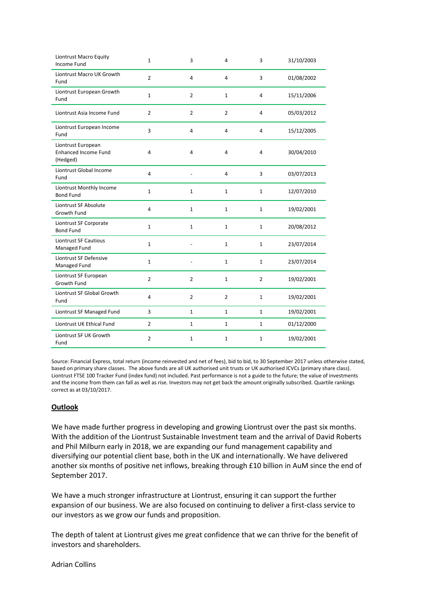| Liontrust Macro Equity<br><b>Income Fund</b>                  | $\mathbf{1}$   | 3              | 4              | 3              | 31/10/2003 |
|---------------------------------------------------------------|----------------|----------------|----------------|----------------|------------|
| Liontrust Macro UK Growth<br>Fund                             | $\overline{2}$ | $\overline{4}$ | 4              | 3              | 01/08/2002 |
| Liontrust European Growth<br>Fund                             | $\mathbf{1}$   | $\overline{2}$ | $\mathbf{1}$   | 4              | 15/11/2006 |
| Liontrust Asia Income Fund                                    | $\overline{2}$ | $\overline{2}$ | $\overline{2}$ | 4              | 05/03/2012 |
| Liontrust European Income<br>Fund                             | 3              | 4              | 4              | 4              | 15/12/2005 |
| Liontrust European<br><b>Enhanced Income Fund</b><br>(Hedged) | 4              | 4              | 4              | 4              | 30/04/2010 |
| Liontrust Global Income<br>Fund                               | 4              |                | 4              | 3              | 03/07/2013 |
| Liontrust Monthly Income<br><b>Bond Fund</b>                  | $\mathbf{1}$   | $\mathbf{1}$   | $\mathbf{1}$   | $\mathbf{1}$   | 12/07/2010 |
| Liontrust SF Absolute<br>Growth Fund                          | $\overline{4}$ | $\mathbf{1}$   | $\mathbf{1}$   | $\mathbf{1}$   | 19/02/2001 |
| Liontrust SF Corporate<br><b>Bond Fund</b>                    | $1\,$          | $\mathbf 1$    | $\mathbf{1}$   | $\mathbf{1}$   | 20/08/2012 |
| <b>Liontrust SF Cautious</b><br>Managed Fund                  | $\mathbf{1}$   |                | $\mathbf{1}$   | $\mathbf{1}$   | 23/07/2014 |
| Liontrust SF Defensive<br>Managed Fund                        | $1\,$          |                | $\mathbf{1}$   | 1              | 23/07/2014 |
| Liontrust SF European<br>Growth Fund                          | $\overline{2}$ | $\overline{2}$ | $\mathbf{1}$   | $\overline{2}$ | 19/02/2001 |
| Liontrust SF Global Growth<br>Fund                            | 4              | $\overline{2}$ | $\overline{2}$ | $\mathbf 1$    | 19/02/2001 |
| Liontrust SF Managed Fund                                     | 3              | $\mathbf{1}$   | $\mathbf{1}$   | $\mathbf{1}$   | 19/02/2001 |
| Liontrust UK Ethical Fund                                     | $\overline{2}$ | $\mathbf 1$    | $\mathbf{1}$   | $\mathbf{1}$   | 01/12/2000 |
| Liontrust SF UK Growth<br>Fund                                | $\overline{2}$ | 1              | $\mathbf{1}$   | $\mathbf{1}$   | 19/02/2001 |

Source: Financial Express, total return (income reinvested and net of fees), bid to bid, to 30 September 2017 unless otherwise stated, based on primary share classes. The above funds are all UK authorised unit trusts or UK authorised ICVCs (primary share class). Liontrust FTSE 100 Tracker Fund (index fund) not included. Past performance is not a guide to the future; the value of investments and the income from them can fall as well as rise. Investors may not get back the amount originally subscribed. Quartile rankings correct as at 03/10/2017.

## **Outlook**

We have made further progress in developing and growing Liontrust over the past six months. With the addition of the Liontrust Sustainable Investment team and the arrival of David Roberts and Phil Milburn early in 2018, we are expanding our fund management capability and diversifying our potential client base, both in the UK and internationally. We have delivered another six months of positive net inflows, breaking through £10 billion in AuM since the end of September 2017.

We have a much stronger infrastructure at Liontrust, ensuring it can support the further expansion of our business. We are also focused on continuing to deliver a first-class service to our investors as we grow our funds and proposition.

The depth of talent at Liontrust gives me great confidence that we can thrive for the benefit of investors and shareholders.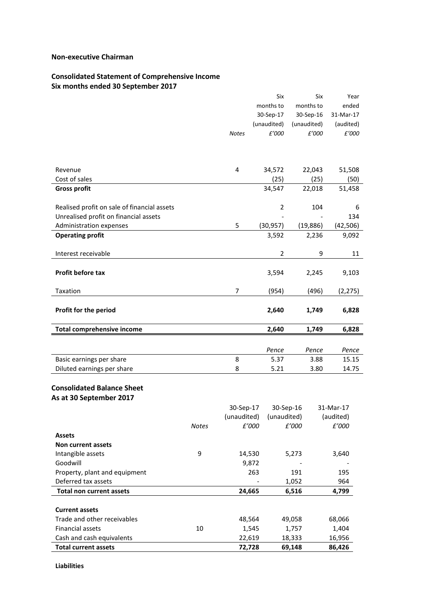#### **Non-executive Chairman**

# **Consolidated Statement of Comprehensive Income**

**Six months ended 30 September 2017**

|                                                          |       |                  | Six            | Six         | Year      |
|----------------------------------------------------------|-------|------------------|----------------|-------------|-----------|
|                                                          |       |                  | months to      | months to   | ended     |
|                                                          |       |                  | 30-Sep-17      | 30-Sep-16   | 31-Mar-17 |
|                                                          |       |                  | (unaudited)    | (unaudited) | (audited) |
|                                                          |       | <b>Notes</b>     | £'000          | £'000       | £'000     |
|                                                          |       |                  |                |             |           |
|                                                          |       |                  |                |             |           |
|                                                          |       |                  |                |             |           |
| Revenue                                                  |       | 4                | 34,572         | 22,043      | 51,508    |
| Cost of sales                                            |       |                  | (25)           | (25)        | (50)      |
| <b>Gross profit</b>                                      |       |                  | 34,547         | 22,018      | 51,458    |
| Realised profit on sale of financial assets              |       |                  | $\overline{2}$ | 104         | 6         |
| Unrealised profit on financial assets                    |       |                  |                |             |           |
|                                                          |       |                  |                |             | 134       |
| Administration expenses                                  |       | 5                | (30, 957)      | (19,886)    | (42, 506) |
| <b>Operating profit</b>                                  |       |                  | 3,592          | 2,236       | 9,092     |
| Interest receivable                                      |       |                  | $\overline{2}$ | 9           | 11        |
| Profit before tax                                        |       |                  | 3,594          | 2,245       | 9,103     |
|                                                          |       |                  |                |             |           |
| Taxation                                                 |       | 7                | (954)          | (496)       | (2, 275)  |
| Profit for the period                                    |       |                  | 2,640          | 1,749       | 6,828     |
|                                                          |       |                  |                |             |           |
| <b>Total comprehensive income</b>                        |       |                  | 2,640          | 1,749       | 6,828     |
|                                                          |       |                  |                |             |           |
|                                                          |       |                  | Pence          | Pence       | Pence     |
| Basic earnings per share                                 |       | 8                | 5.37           | 3.88        | 15.15     |
| Diluted earnings per share                               |       | 8                | 5.21           | 3.80        | 14.75     |
| <b>Consolidated Balance Sheet</b>                        |       |                  |                |             |           |
| As at 30 September 2017                                  |       |                  |                |             |           |
|                                                          |       | 30-Sep-17        | 30-Sep-16      |             | 31-Mar-17 |
|                                                          |       | (unaudited)      | (unaudited)    |             | (audited) |
|                                                          | Notes | £'000            |                | £'000       | £'000     |
| <b>Assets</b>                                            |       |                  |                |             |           |
| Non current assets                                       |       |                  |                |             |           |
| Intangible assets                                        | 9     | 14,530           |                | 5,273       | 3,640     |
| Goodwill                                                 |       | 9,872            |                |             |           |
| Property, plant and equipment                            |       | 263              |                | 191         | 195       |
| Deferred tax assets                                      |       |                  |                | 1,052       | 964       |
| <b>Total non current assets</b>                          |       | 24,665           |                | 6,516       | 4,799     |
|                                                          |       |                  |                |             |           |
| <b>Current assets</b>                                    |       |                  |                |             |           |
|                                                          |       |                  |                |             |           |
| Trade and other receivables                              |       | 48,564           |                | 49,058      | 68,066    |
| Financial assets                                         | 10    | 1,545            |                | 1,757       | 1,404     |
| Cash and cash equivalents<br><b>Total current assets</b> |       | 22,619<br>72,728 |                | 18,333      | 16,956    |

**Liabilities**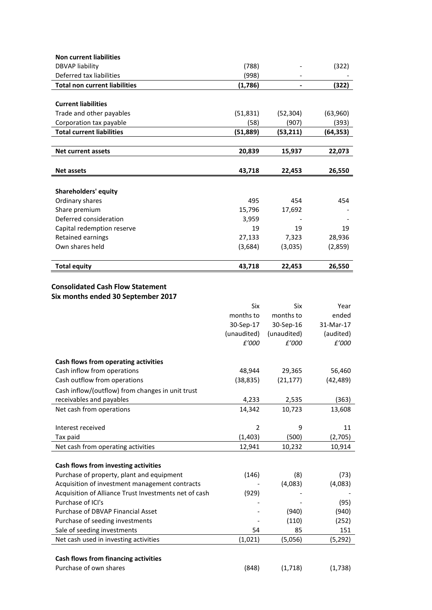| <b>Non current liabilities</b>                                                |                |             |           |
|-------------------------------------------------------------------------------|----------------|-------------|-----------|
| <b>DBVAP liability</b>                                                        | (788)          |             | (322)     |
| Deferred tax liabilities                                                      | (998)          |             |           |
| <b>Total non current liabilities</b>                                          | (1,786)        |             | (322)     |
|                                                                               |                |             |           |
| <b>Current liabilities</b>                                                    |                |             |           |
| Trade and other payables                                                      | (51, 831)      | (52, 304)   | (63,960)  |
| Corporation tax payable                                                       | (58)           | (907)       | (393)     |
| <b>Total current liabilities</b>                                              | (51,889)       | (53,211)    | (64, 353) |
|                                                                               |                |             |           |
| <b>Net current assets</b>                                                     | 20,839         | 15,937      | 22,073    |
|                                                                               |                |             |           |
| <b>Net assets</b>                                                             | 43,718         | 22,453      | 26,550    |
|                                                                               |                |             |           |
| <b>Shareholders' equity</b>                                                   |                |             |           |
| Ordinary shares                                                               | 495            | 454         | 454       |
| Share premium                                                                 | 15,796         | 17,692      |           |
| Deferred consideration                                                        | 3,959          |             |           |
| Capital redemption reserve                                                    | 19             | 19          | 19        |
| Retained earnings                                                             | 27,133         | 7,323       | 28,936    |
| Own shares held                                                               | (3,684)        | (3,035)     | (2,859)   |
| <b>Total equity</b>                                                           | 43,718         | 22,453      | 26,550    |
| <b>Consolidated Cash Flow Statement</b><br>Six months ended 30 September 2017 |                |             |           |
|                                                                               |                |             |           |
|                                                                               | Six            | Six         | Year      |
|                                                                               | months to      | months to   | ended     |
|                                                                               | 30-Sep-17      | 30-Sep-16   | 31-Mar-17 |
|                                                                               | (unaudited)    | (unaudited) | (audited) |
|                                                                               | £'000          | £'000       | £'000     |
| Cash flows from operating activities                                          |                |             |           |
| Cash inflow from operations                                                   | 48,944         | 29,365      | 56,460    |
| Cash outflow from operations                                                  | (38, 835)      | (21, 177)   | (42, 489) |
|                                                                               |                |             |           |
| Cash inflow/(outflow) from changes in unit trust                              |                |             |           |
| receivables and payables                                                      | 4,233          | 2,535       | (363)     |
| Net cash from operations                                                      | 14,342         | 10,723      | 13,608    |
| Interest received                                                             | $\overline{2}$ | 9           | 11        |
| Tax paid                                                                      | (1, 403)       | (500)       | (2,705)   |
| Net cash from operating activities                                            | 12,941         | 10,232      | 10,914    |
|                                                                               |                |             |           |
| Cash flows from investing activities                                          |                |             |           |
| Purchase of property, plant and equipment                                     | (146)          | (8)         | (73)      |
| Acquisition of investment management contracts                                |                | (4,083)     | (4,083)   |
| Acquisition of Alliance Trust Investments net of cash                         | (929)          |             |           |
| Purchase of ICI's                                                             |                |             | (95)      |
| Purchase of DBVAP Financial Asset                                             |                | (940)       | (940)     |
| Purchase of seeding investments                                               |                | (110)       | (252)     |
| Sale of seeding investments                                                   | 54             | 85          | 151       |
| Net cash used in investing activities                                         | (1,021)        | (5,056)     | (5, 292)  |
|                                                                               |                |             |           |
| <b>Cash flows from financing activities</b>                                   |                |             |           |
| Purchase of own shares                                                        | (848)          | (1,718)     | (1,738)   |
|                                                                               |                |             |           |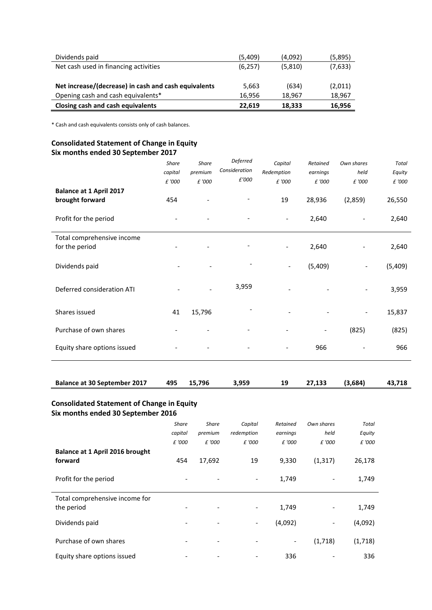| Dividends paid                                       | (5,409)  | (4,092) | (5,895) |
|------------------------------------------------------|----------|---------|---------|
| Net cash used in financing activities                | (6, 257) | (5,810) | (7,633) |
|                                                      |          |         |         |
| Net increase/(decrease) in cash and cash equivalents | 5,663    | (634)   | (2,011) |
| Opening cash and cash equivalents*                   | 16.956   | 18.967  | 18,967  |
| Closing cash and cash equivalents                    | 22.619   | 18.333  | 16,956  |

\* Cash and cash equivalents consists only of cash balances.

# **Consolidated Statement of Change in Equity Six months ended 30 September 2017**

| <b>Balance at 1 April 2017</b><br>brought forward | <b>Share</b><br>capital<br>£ '000<br>454 | <b>Share</b><br>premium<br>£ '000 | Deferred<br>Consideration<br>£'000 | Capital<br>Redemption<br>£ '000<br>19 | Retained<br>earnings<br>£ '000<br>28,936 | Own shares<br>held<br>£ '000<br>(2,859) | <b>Total</b><br>Equity<br>£ '000<br>26,550 |
|---------------------------------------------------|------------------------------------------|-----------------------------------|------------------------------------|---------------------------------------|------------------------------------------|-----------------------------------------|--------------------------------------------|
| Profit for the period                             |                                          |                                   |                                    | $\overline{\phantom{a}}$              | 2,640                                    |                                         | 2,640                                      |
| Total comprehensive income<br>for the period      |                                          |                                   |                                    | $\overline{\phantom{0}}$              | 2,640                                    |                                         | 2,640                                      |
| Dividends paid                                    |                                          |                                   |                                    | $\overline{\phantom{a}}$              | (5,409)                                  | $\overline{\phantom{a}}$                | (5,409)                                    |
| Deferred consideration ATI                        |                                          |                                   | 3,959                              | $\qquad \qquad \blacksquare$          |                                          |                                         | 3,959                                      |
| Shares issued                                     | 41                                       | 15,796                            |                                    | $\overline{\phantom{a}}$              |                                          | $\overline{\phantom{0}}$                | 15,837                                     |
| Purchase of own shares                            |                                          |                                   |                                    |                                       |                                          | (825)                                   | (825)                                      |
| Equity share options issued                       |                                          |                                   |                                    |                                       | 966                                      |                                         | 966                                        |
|                                                   |                                          |                                   |                                    |                                       |                                          |                                         |                                            |

| <b>Balance at 30 September 2017</b><br>27,133<br>495 15,796<br>3,959<br>19 | (3,684) | 43,718 |
|----------------------------------------------------------------------------|---------|--------|
|----------------------------------------------------------------------------|---------|--------|

# **Consolidated Statement of Change in Equity Six months ended 30 September 2016**

|                                            | Share   | <b>Share</b>             | Capital                  | Retained | Own shares | <b>Total</b> |
|--------------------------------------------|---------|--------------------------|--------------------------|----------|------------|--------------|
|                                            | capital | premium                  | redemption               | earnings | held       | Equity       |
|                                            | £ '000  | £ '000                   | £ '000                   | £ '000   | £ '000     | £ '000       |
| Balance at 1 April 2016 brought<br>forward | 454     | 17,692                   | 19                       | 9,330    | (1, 317)   | 26,178       |
| Profit for the period                      |         |                          |                          | 1,749    |            | 1,749        |
| Total comprehensive income for             |         |                          |                          |          |            |              |
| the period                                 |         | $\overline{\phantom{0}}$ | $\overline{\phantom{0}}$ | 1,749    |            | 1,749        |
| Dividends paid                             |         |                          | $\overline{\phantom{0}}$ | (4,092)  | -          | (4,092)      |
| Purchase of own shares                     | -       | $\overline{\phantom{a}}$ |                          | -        | (1,718)    | (1,718)      |
| Equity share options issued                |         |                          |                          | 336      |            | 336          |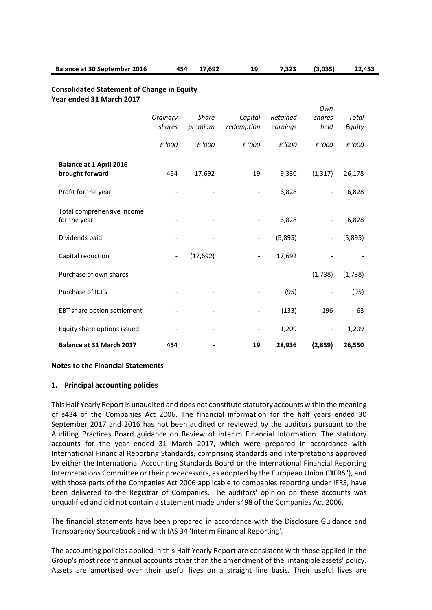| <b>Balance at 30 September 2016</b>                                           | 454                      | 17,692       | 19                       | 7,323                    | (3,035)                  | 22,453  |
|-------------------------------------------------------------------------------|--------------------------|--------------|--------------------------|--------------------------|--------------------------|---------|
| <b>Consolidated Statement of Change in Equity</b><br>Year ended 31 March 2017 |                          |              |                          |                          |                          |         |
|                                                                               |                          |              |                          |                          | Own                      |         |
|                                                                               | Ordinary                 | <b>Share</b> | Capital                  | Retained                 | shares                   | Total   |
|                                                                               | shares                   | premium      | redemption               | earnings                 | held                     | Equity  |
|                                                                               | £ '000                   | £ '000       | £ '000                   | £ '000                   | £ '000                   | £ '000  |
| <b>Balance at 1 April 2016</b>                                                |                          |              |                          |                          |                          |         |
| brought forward                                                               | 454                      | 17,692       | 19                       | 9,330                    | (1, 317)                 | 26,178  |
| Profit for the year                                                           |                          |              | $\overline{\phantom{m}}$ | 6,828                    |                          | 6,828   |
| Total comprehensive income                                                    |                          |              |                          |                          |                          |         |
| for the year                                                                  |                          |              |                          | 6,828                    |                          | 6,828   |
| Dividends paid                                                                |                          |              | $\overline{\phantom{a}}$ | (5,895)                  |                          | (5,895) |
| Capital reduction                                                             | $\overline{\phantom{a}}$ | (17, 692)    | $\overline{\phantom{a}}$ | 17,692                   |                          |         |
| Purchase of own shares                                                        |                          |              |                          | $\overline{\phantom{a}}$ | (1,738)                  | (1,738) |
| Purchase of ICI's                                                             |                          |              |                          | (95)                     |                          | (95)    |
| EBT share option settlement                                                   |                          |              |                          | (133)                    | 196                      | 63      |
| Equity share options issued                                                   |                          |              | $\overline{\phantom{a}}$ | 1,209                    | $\overline{\phantom{a}}$ | 1,209   |
| <b>Balance at 31 March 2017</b>                                               | 454                      |              | 19                       | 28,936                   | (2,859)                  | 26,550  |

## **Notes to the Financial Statements**

## **1. Principal accounting policies**

This Half Yearly Report is unaudited and does not constitute statutory accounts within the meaning of s434 of the Companies Act 2006. The financial information for the half years ended 30 September 2017 and 2016 has not been audited or reviewed by the auditors pursuant to the Auditing Practices Board guidance on Review of Interim Financial Information. The statutory accounts for the year ended 31 March 2017, which were prepared in accordance with International Financial Reporting Standards, comprising standards and interpretations approved by either the International Accounting Standards Board or the International Financial Reporting Interpretations Committee or their predecessors, as adopted by the European Union ("**IFRS**"), and with those parts of the Companies Act 2006 applicable to companies reporting under IFRS, have been delivered to the Registrar of Companies. The auditors' opinion on these accounts was unqualified and did not contain a statement made under s498 of the Companies Act 2006.

The financial statements have been prepared in accordance with the Disclosure Guidance and Transparency Sourcebook and with IAS 34 'Interim Financial Reporting'.

The accounting policies applied in this Half Yearly Report are consistent with those applied in the Group's most recent annual accounts other than the amendment of the 'intangible assets' policy. Assets are amortised over their useful lives on a straight line basis. Their useful lives are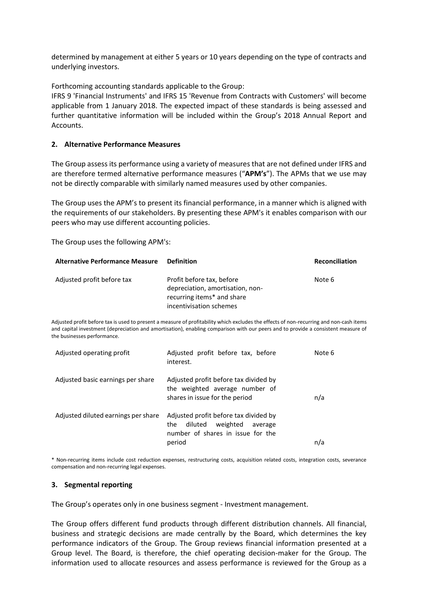determined by management at either 5 years or 10 years depending on the type of contracts and underlying investors.

Forthcoming accounting standards applicable to the Group:

IFRS 9 'Financial Instruments' and IFRS 15 'Revenue from Contracts with Customers' will become applicable from 1 January 2018. The expected impact of these standards is being assessed and further quantitative information will be included within the Group's 2018 Annual Report and Accounts.

## **2. Alternative Performance Measures**

The Group assess its performance using a variety of measures that are not defined under IFRS and are therefore termed alternative performance measures ("**APM's**"). The APMs that we use may not be directly comparable with similarly named measures used by other companies.

The Group uses the APM's to present its financial performance, in a manner which is aligned with the requirements of our stakeholders. By presenting these APM's it enables comparison with our peers who may use different accounting policies.

The Group uses the following APM's:

| <b>Alternative Performance Measure</b> | Definition                                                                                                             | <b>Reconciliation</b> |
|----------------------------------------|------------------------------------------------------------------------------------------------------------------------|-----------------------|
| Adjusted profit before tax             | Profit before tax, before<br>depreciation, amortisation, non-<br>recurring items* and share<br>incentivisation schemes | Note 6                |

Adjusted profit before tax is used to present a measure of profitability which excludes the effects of non-recurring and non-cash items and capital investment (depreciation and amortisation), enabling comparison with our peers and to provide a consistent measure of the businesses performance.

| Adjusted operating profit           | Adjusted profit before tax, before<br>interest.                                                                               | Note 6 |
|-------------------------------------|-------------------------------------------------------------------------------------------------------------------------------|--------|
| Adjusted basic earnings per share   | Adjusted profit before tax divided by<br>the weighted average number of<br>shares in issue for the period                     | n/a    |
| Adjusted diluted earnings per share | Adjusted profit before tax divided by<br>diluted<br>weighted<br>the<br>average<br>number of shares in issue for the<br>period | n/a    |

\* Non-recurring items include cost reduction expenses, restructuring costs, acquisition related costs, integration costs, severance compensation and non-recurring legal expenses.

## **3. Segmental reporting**

The Group's operates only in one business segment - Investment management.

The Group offers different fund products through different distribution channels. All financial, business and strategic decisions are made centrally by the Board, which determines the key performance indicators of the Group. The Group reviews financial information presented at a Group level. The Board, is therefore, the chief operating decision-maker for the Group. The information used to allocate resources and assess performance is reviewed for the Group as a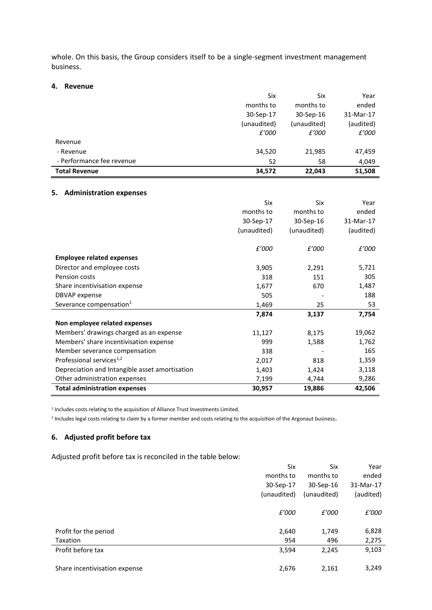whole. On this basis, the Group considers itself to be a single-segment investment management business.

#### **4. Revenue**

|                           | Six         | Six         | Year      |
|---------------------------|-------------|-------------|-----------|
|                           | months to   | months to   | ended     |
|                           | 30-Sep-17   | 30-Sep-16   | 31-Mar-17 |
|                           | (unaudited) | (unaudited) | (audited) |
|                           | £'000       | £'000       | £'000     |
| Revenue                   |             |             |           |
| - Revenue                 | 34,520      | 21,985      | 47,459    |
| - Performance fee revenue | 52          | 58          | 4,049     |
| <b>Total Revenue</b>      | 34,572      | 22,043      | 51,508    |

#### **5. Administration expenses**

|                                                | <b>Six</b>  | Six         | Year      |
|------------------------------------------------|-------------|-------------|-----------|
|                                                | months to   | months to   | ended     |
|                                                | 30-Sep-17   | 30-Sep-16   | 31-Mar-17 |
|                                                | (unaudited) | (unaudited) | (audited) |
|                                                | £'000       | £'000       | £'000     |
| <b>Employee related expenses</b>               |             |             |           |
| Director and employee costs                    | 3,905       | 2,291       | 5,721     |
| Pension costs                                  | 318         | 151         | 305       |
| Share incentivisation expense                  | 1,677       | 670         | 1,487     |
| <b>DBVAP</b> expense                           | 505         |             | 188       |
| Severance compensation <sup>1</sup>            | 1,469       | 25          | 53        |
|                                                | 7,874       | 3,137       | 7,754     |
| Non employee related expenses                  |             |             |           |
| Members' drawings charged as an expense        | 11,127      | 8,175       | 19,062    |
| Members' share incentivisation expense         | 999         | 1,588       | 1,762     |
| Member severance compensation                  | 338         |             | 165       |
| Professional services <sup>1,2</sup>           | 2,017       | 818         | 1,359     |
| Depreciation and Intangible asset amortisation | 1,403       | 1,424       | 3,118     |
| Other administration expenses                  | 7,199       | 4,744       | 9,286     |
| <b>Total administration expenses</b>           | 30,957      | 19,886      | 42,506    |

<sup>1</sup> Includes costs relating to the acquisition of Alliance Trust Investments Limited.

<sup>2</sup> Includes legal costs relating to claim by a former member and costs relating to the acquisition of the Argonaut business.

## **6. Adjusted profit before tax**

Adjusted profit before tax is reconciled in the table below:

|                               | Six         | Six         | Year      |
|-------------------------------|-------------|-------------|-----------|
|                               | months to   | months to   | ended     |
|                               | 30-Sep-17   | 30-Sep-16   | 31-Mar-17 |
|                               | (unaudited) | (unaudited) | (audited) |
|                               | £'000       | £'000       | £'000     |
| Profit for the period         | 2,640       | 1,749       | 6,828     |
| Taxation                      | 954         | 496         | 2,275     |
| Profit before tax             | 3,594       | 2,245       | 9,103     |
| Share incentivisation expense | 2,676       | 2,161       | 3,249     |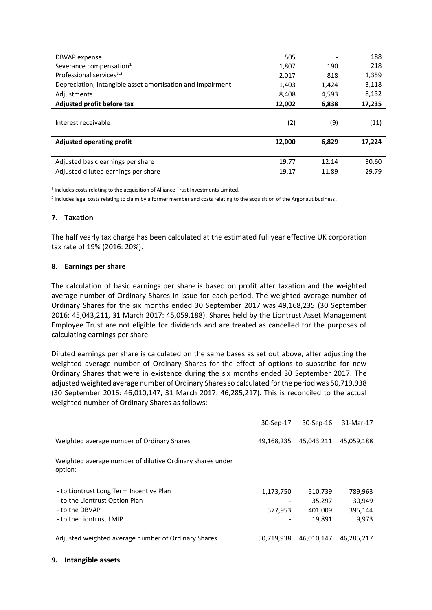| DBVAP expense                                              | 505    |       | 188    |
|------------------------------------------------------------|--------|-------|--------|
| Severance compensation <sup>1</sup>                        | 1,807  | 190   | 218    |
| Professional services <sup>1,2</sup>                       | 2,017  | 818   | 1,359  |
| Depreciation, Intangible asset amortisation and impairment | 1,403  | 1,424 | 3,118  |
| Adjustments                                                | 8,408  | 4,593 | 8,132  |
| Adjusted profit before tax                                 | 12,002 | 6,838 | 17,235 |
| Interest receivable                                        | (2)    | (9)   | (11)   |
| <b>Adjusted operating profit</b>                           | 12,000 | 6,829 | 17,224 |
|                                                            |        |       |        |
| Adjusted basic earnings per share                          | 19.77  | 12.14 | 30.60  |
| Adjusted diluted earnings per share                        | 19.17  | 11.89 | 29.79  |

<sup>1</sup> Includes costs relating to the acquisition of Alliance Trust Investments Limited.

<sup>2</sup> Includes legal costs relating to claim by a former member and costs relating to the acquisition of the Argonaut business.

## **7. Taxation**

The half yearly tax charge has been calculated at the estimated full year effective UK corporation tax rate of 19% (2016: 20%).

## **8. Earnings per share**

The calculation of basic earnings per share is based on profit after taxation and the weighted average number of Ordinary Shares in issue for each period. The weighted average number of Ordinary Shares for the six months ended 30 September 2017 was 49,168,235 (30 September 2016: 45,043,211, 31 March 2017: 45,059,188). Shares held by the Liontrust Asset Management Employee Trust are not eligible for dividends and are treated as cancelled for the purposes of calculating earnings per share.

Diluted earnings per share is calculated on the same bases as set out above, after adjusting the weighted average number of Ordinary Shares for the effect of options to subscribe for new Ordinary Shares that were in existence during the six months ended 30 September 2017. The adjusted weighted average number of Ordinary Shares so calculated for the period was 50,719,938 (30 September 2016: 46,010,147, 31 March 2017: 46,285,217). This is reconciled to the actual weighted number of Ordinary Shares as follows:

|                                                                      | 30-Sep-17  | 30-Sep-16  | 31-Mar-17  |
|----------------------------------------------------------------------|------------|------------|------------|
| Weighted average number of Ordinary Shares                           | 49,168,235 | 45,043,211 | 45,059,188 |
| Weighted average number of dilutive Ordinary shares under<br>option: |            |            |            |
| - to Liontrust Long Term Incentive Plan                              | 1,173,750  | 510,739    | 789,963    |
| - to the Liontrust Option Plan                                       |            | 35.297     | 30,949     |
| - to the DBVAP                                                       | 377,953    | 401,009    | 395,144    |
| - to the Liontrust LMIP                                              |            | 19,891     | 9.973      |
|                                                                      |            |            |            |
| Adjusted weighted average number of Ordinary Shares                  | 50,719,938 | 46,010,147 | 46,285,217 |

#### **9. Intangible assets**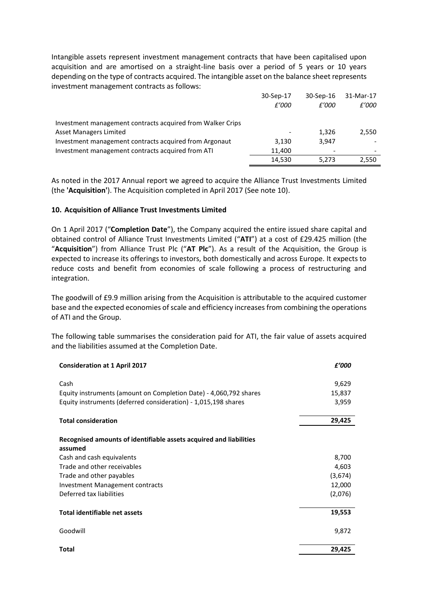Intangible assets represent investment management contracts that have been capitalised upon acquisition and are amortised on a straight-line basis over a period of 5 years or 10 years depending on the type of contracts acquired. The intangible asset on the balance sheet represents investment management contracts as follows:

|                                                            | 30-Sep-17 | 30-Sep-16 | 31-Mar-17 |
|------------------------------------------------------------|-----------|-----------|-----------|
|                                                            | £'000     | £'000     | £'000     |
| Investment management contracts acquired from Walker Crips |           |           |           |
| Asset Managers Limited                                     |           | 1,326     | 2,550     |
| Investment management contracts acquired from Argonaut     | 3.130     | 3,947     |           |
| Investment management contracts acquired from ATI          | 11.400    |           |           |
|                                                            | 14,530    | 5,273     | 2,550     |

As noted in the 2017 Annual report we agreed to acquire the Alliance Trust Investments Limited (the **'Acquisition'**). The Acquisition completed in April 2017 (See note 10).

## **10. Acquisition of Alliance Trust Investments Limited**

On 1 April 2017 ("**Completion Date**"), the Company acquired the entire issued share capital and obtained control of Alliance Trust Investments Limited ("**ATI**") at a cost of £29.425 million (the "**Acquisition**") from Alliance Trust Plc ("**AT Plc**"). As a result of the Acquisition, the Group is expected to increase its offerings to investors, both domestically and across Europe. It expects to reduce costs and benefit from economies of scale following a process of restructuring and integration.

The goodwill of £9.9 million arising from the Acquisition is attributable to the acquired customer base and the expected economies of scale and efficiency increases from combining the operations of ATI and the Group.

The following table summarises the consideration paid for ATI, the fair value of assets acquired and the liabilities assumed at the Completion Date.

| <b>Consideration at 1 April 2017</b>                                          | £'000   |
|-------------------------------------------------------------------------------|---------|
| Cash                                                                          | 9,629   |
| Equity instruments (amount on Completion Date) - 4,060,792 shares             | 15,837  |
| Equity instruments (deferred consideration) - 1,015,198 shares                | 3,959   |
| <b>Total consideration</b>                                                    | 29,425  |
|                                                                               |         |
| Recognised amounts of identifiable assets acquired and liabilities<br>assumed |         |
| Cash and cash equivalents                                                     | 8,700   |
| Trade and other receivables                                                   | 4,603   |
| Trade and other payables                                                      | (3,674) |
| <b>Investment Management contracts</b>                                        | 12,000  |
| Deferred tax liabilities                                                      | (2,076) |
| <b>Total identifiable net assets</b>                                          | 19,553  |
| Goodwill                                                                      | 9,872   |
| <b>Total</b>                                                                  | 29,425  |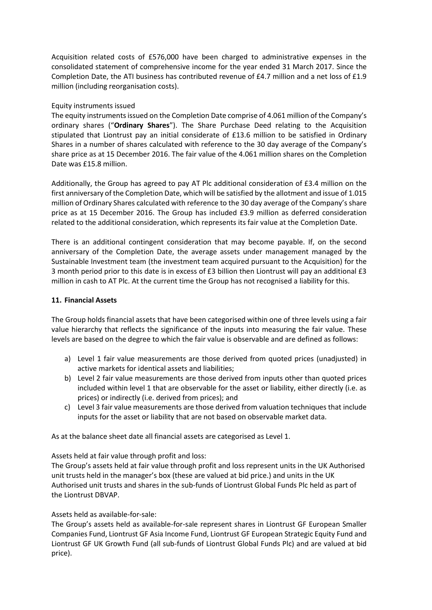Acquisition related costs of £576,000 have been charged to administrative expenses in the consolidated statement of comprehensive income for the year ended 31 March 2017. Since the Completion Date, the ATI business has contributed revenue of £4.7 million and a net loss of £1.9 million (including reorganisation costs).

## Equity instruments issued

The equity instruments issued on the Completion Date comprise of 4.061 million of the Company's ordinary shares ("**Ordinary Shares**"). The Share Purchase Deed relating to the Acquisition stipulated that Liontrust pay an initial considerate of £13.6 million to be satisfied in Ordinary Shares in a number of shares calculated with reference to the 30 day average of the Company's share price as at 15 December 2016. The fair value of the 4.061 million shares on the Completion Date was £15.8 million.

Additionally, the Group has agreed to pay AT Plc additional consideration of £3.4 million on the first anniversary of the Completion Date, which will be satisfied by the allotment and issue of 1.015 million of Ordinary Shares calculated with reference to the 30 day average of the Company's share price as at 15 December 2016. The Group has included £3.9 million as deferred consideration related to the additional consideration, which represents its fair value at the Completion Date.

There is an additional contingent consideration that may become payable. If, on the second anniversary of the Completion Date, the average assets under management managed by the Sustainable Investment team (the investment team acquired pursuant to the Acquisition) for the 3 month period prior to this date is in excess of £3 billion then Liontrust will pay an additional £3 million in cash to AT Plc. At the current time the Group has not recognised a liability for this.

## **11. Financial Assets**

The Group holds financial assets that have been categorised within one of three levels using a fair value hierarchy that reflects the significance of the inputs into measuring the fair value. These levels are based on the degree to which the fair value is observable and are defined as follows:

- a) Level 1 fair value measurements are those derived from quoted prices (unadjusted) in active markets for identical assets and liabilities;
- b) Level 2 fair value measurements are those derived from inputs other than quoted prices included within level 1 that are observable for the asset or liability, either directly (i.e. as prices) or indirectly (i.e. derived from prices); and
- c) Level 3 fair value measurements are those derived from valuation techniques that include inputs for the asset or liability that are not based on observable market data.

As at the balance sheet date all financial assets are categorised as Level 1.

Assets held at fair value through profit and loss:

The Group's assets held at fair value through profit and loss represent units in the UK Authorised unit trusts held in the manager's box (these are valued at bid price.) and units in the UK Authorised unit trusts and shares in the sub-funds of Liontrust Global Funds Plc held as part of the Liontrust DBVAP.

# Assets held as available-for-sale:

The Group's assets held as available-for-sale represent shares in Liontrust GF European Smaller Companies Fund, Liontrust GF Asia Income Fund, Liontrust GF European Strategic Equity Fund and Liontrust GF UK Growth Fund (all sub-funds of Liontrust Global Funds Plc) and are valued at bid price).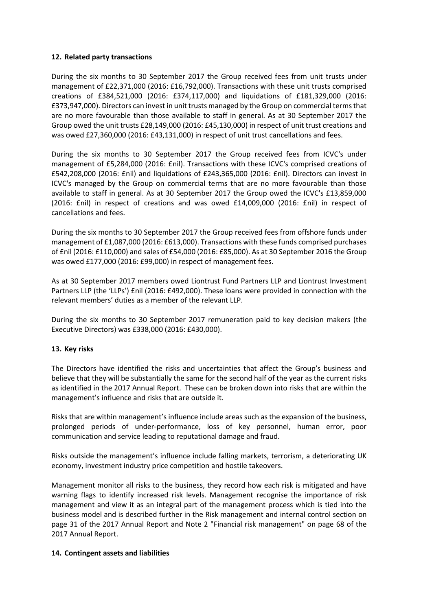## **12. Related party transactions**

During the six months to 30 September 2017 the Group received fees from unit trusts under management of £22,371,000 (2016: £16,792,000). Transactions with these unit trusts comprised creations of £384,521,000 (2016: £374,117,000) and liquidations of £181,329,000 (2016: £373,947,000). Directors can invest in unit trusts managed by the Group on commercial terms that are no more favourable than those available to staff in general. As at 30 September 2017 the Group owed the unit trusts £28,149,000 (2016: £45,130,000) in respect of unit trust creations and was owed £27,360,000 (2016: £43,131,000) in respect of unit trust cancellations and fees.

During the six months to 30 September 2017 the Group received fees from ICVC's under management of £5,284,000 (2016: £nil). Transactions with these ICVC's comprised creations of £542,208,000 (2016: £nil) and liquidations of £243,365,000 (2016: £nil). Directors can invest in ICVC's managed by the Group on commercial terms that are no more favourable than those available to staff in general. As at 30 September 2017 the Group owed the ICVC's £13,859,000 (2016: £nil) in respect of creations and was owed £14,009,000 (2016: £nil) in respect of cancellations and fees.

During the six months to 30 September 2017 the Group received fees from offshore funds under management of £1,087,000 (2016: £613,000). Transactions with these funds comprised purchases of £nil (2016: £110,000) and sales of £54,000 (2016: £85,000). As at 30 September 2016 the Group was owed £177,000 (2016: £99,000) in respect of management fees.

As at 30 September 2017 members owed Liontrust Fund Partners LLP and Liontrust Investment Partners LLP (the 'LLPs') £nil (2016: £492,000). These loans were provided in connection with the relevant members' duties as a member of the relevant LLP.

During the six months to 30 September 2017 remuneration paid to key decision makers (the Executive Directors) was £338,000 (2016: £430,000).

# **13. Key risks**

The Directors have identified the risks and uncertainties that affect the Group's business and believe that they will be substantially the same for the second half of the year as the current risks as identified in the 2017 Annual Report. These can be broken down into risks that are within the management's influence and risks that are outside it.

Risks that are within management's influence include areas such as the expansion of the business, prolonged periods of under-performance, loss of key personnel, human error, poor communication and service leading to reputational damage and fraud.

Risks outside the management's influence include falling markets, terrorism, a deteriorating UK economy, investment industry price competition and hostile takeovers.

Management monitor all risks to the business, they record how each risk is mitigated and have warning flags to identify increased risk levels. Management recognise the importance of risk management and view it as an integral part of the management process which is tied into the business model and is described further in the Risk management and internal control section on page 31 of the 2017 Annual Report and Note 2 "Financial risk management" on page 68 of the 2017 Annual Report.

## **14. Contingent assets and liabilities**